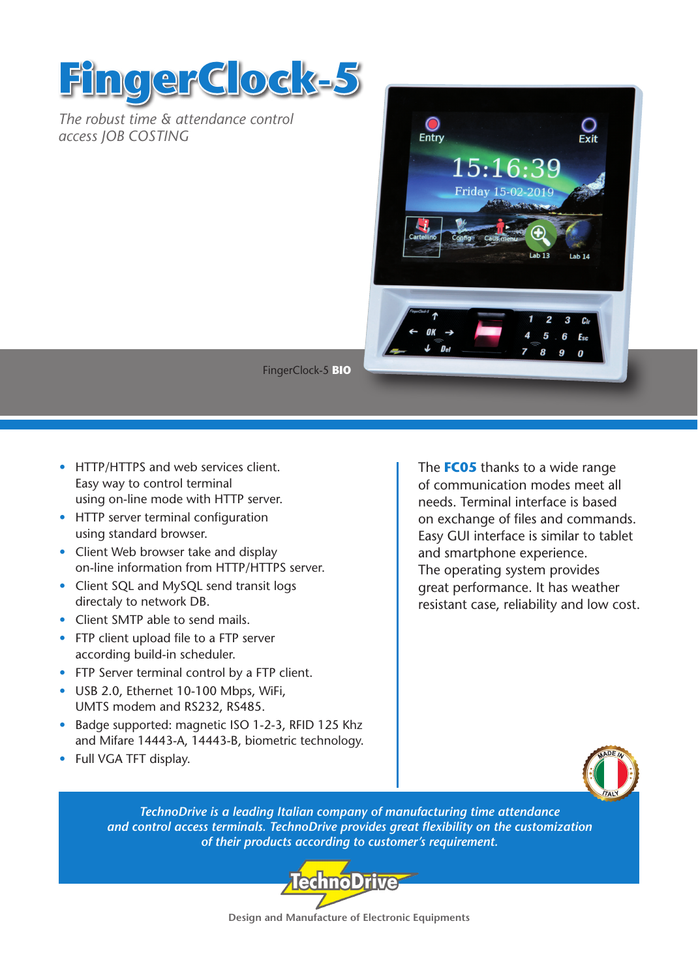



FingerClock-5 **BIO**

- HTTP/HTTPS and web services client. Easy way to control terminal using on-line mode with HTTP server.
- HTTP server terminal configuration using standard browser.
- Client Web browser take and display on-line information from HTTP/HTTPS server.
- Client SQL and MySQL send transit logs directaly to network DB.
- Client SMTP able to send mails.
- FTP client upload file to a FTP server according build-in scheduler.
- FTP Server terminal control by a FTP client.
- USB 2.0, Ethernet 10-100 Mbps, WiFi, UMTS modem and RS232, RS485.
- Badge supported: magnetic ISO 1-2-3, RFID 125 Khz and Mifare 14443-A, 14443-B, biometric technology.
- Full VGA TFT display.

The **FC05** thanks to a wide range of communication modes meet all needs. Terminal interface is based on exchange of files and commands. Easy GUI interface is similar to tablet and smartphone experience. The operating system provides great performance. It has weather resistant case, reliability and low cost.



*TechnoDrive is a leading Italian company of manufacturing time attendance and control access terminals. TechnoDrive provides great flexibility on the customization of their products according to customer's requirement.*



**Design and Manufacture of Electronic Equipments**